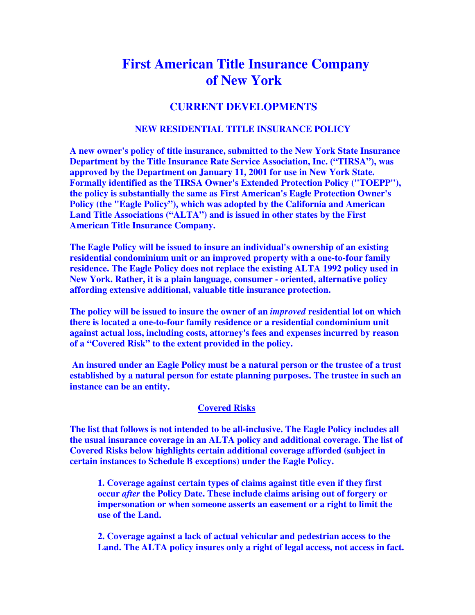# **First American Title Insurance Company of New York**

## **CURRENT DEVELOPMENTS**

### **NEW RESIDENTIAL TITLE INSURANCE POLICY**

**A new owner's policy of title insurance, submitted to the New York State Insurance Department by the Title Insurance Rate Service Association, Inc. ("TIRSA"), was approved by the Department on January 11, 2001 for use in New York State. Formally identified as the TIRSA Owner's Extended Protection Policy ("TOEPP"), the policy is substantially the same as First American's Eagle Protection Owner's Policy (the "Eagle Policy"), which was adopted by the California and American Land Title Associations ("ALTA") and is issued in other states by the First American Title Insurance Company.** 

**The Eagle Policy will be issued to insure an individual's ownership of an existing residential condominium unit or an improved property with a one-to-four family residence. The Eagle Policy does not replace the existing ALTA 1992 policy used in New York. Rather, it is a plain language, consumer - oriented, alternative policy affording extensive additional, valuable title insurance protection.** 

**The policy will be issued to insure the owner of an** *improved* **residential lot on which there is located a one-to-four family residence or a residential condominium unit against actual loss, including costs, attorney's fees and expenses incurred by reason of a "Covered Risk" to the extent provided in the policy.** 

 **An insured under an Eagle Policy must be a natural person or the trustee of a trust established by a natural person for estate planning purposes. The trustee in such an instance can be an entity.** 

#### **Covered Risks**

**The list that follows is not intended to be all-inclusive. The Eagle Policy includes all the usual insurance coverage in an ALTA policy and additional coverage. The list of Covered Risks below highlights certain additional coverage afforded (subject in certain instances to Schedule B exceptions) under the Eagle Policy.** 

**1. Coverage against certain types of claims against title even if they first occur** *after* **the Policy Date. These include claims arising out of forgery or impersonation or when someone asserts an easement or a right to limit the use of the Land.** 

**2. Coverage against a lack of actual vehicular and pedestrian access to the Land. The ALTA policy insures only a right of legal access, not access in fact.**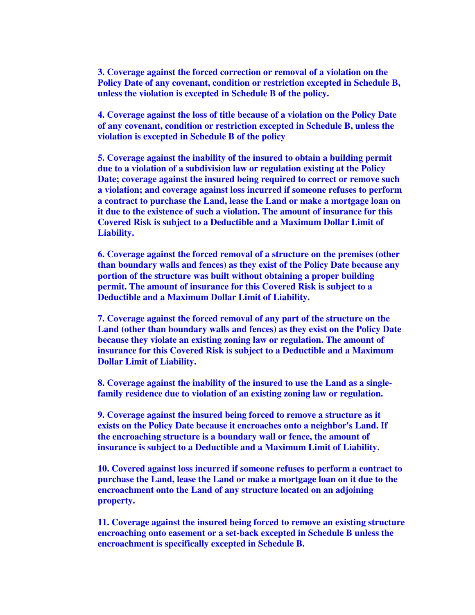**3. Coverage against the forced correction or removal of a violation on the Policy Date of any covenant, condition or restriction excepted in Schedule B, unless the violation is excepted in Schedule B of the policy.** 

**4. Coverage against the loss of title because of a violation on the Policy Date of any covenant, condition or restriction excepted in Schedule B, unless the violation is excepted in Schedule B of the policy** 

**5. Coverage against the inability of the insured to obtain a building permit due to a violation of a subdivision law or regulation existing at the Policy Date; coverage against the insured being required to correct or remove such a violation; and coverage against loss incurred if someone refuses to perform a contract to purchase the Land, lease the Land or make a mortgage loan on it due to the existence of such a violation. The amount of insurance for this Covered Risk is subject to a Deductible and a Maximum Dollar Limit of Liability.** 

**6. Coverage against the forced removal of a structure on the premises (other than boundary walls and fences) as they exist of the Policy Date because any portion of the structure was built without obtaining a proper building permit. The amount of insurance for this Covered Risk is subject to a Deductible and a Maximum Dollar Limit of Liability.** 

**7. Coverage against the forced removal of any part of the structure on the Land (other than boundary walls and fences) as they exist on the Policy Date because they violate an existing zoning law or regulation. The amount of insurance for this Covered Risk is subject to a Deductible and a Maximum Dollar Limit of Liability.** 

**8. Coverage against the inability of the insured to use the Land as a singlefamily residence due to violation of an existing zoning law or regulation.** 

**9. Coverage against the insured being forced to remove a structure as it exists on the Policy Date because it encroaches onto a neighbor's Land. If the encroaching structure is a boundary wall or fence, the amount of insurance is subject to a Deductible and a Maximum Limit of Liability.** 

**10. Covered against loss incurred if someone refuses to perform a contract to purchase the Land, lease the Land or make a mortgage loan on it due to the encroachment onto the Land of any structure located on an adjoining property.** 

**11. Coverage against the insured being forced to remove an existing structure encroaching onto easement or a set-back excepted in Schedule B unless the encroachment is specifically excepted in Schedule B.**